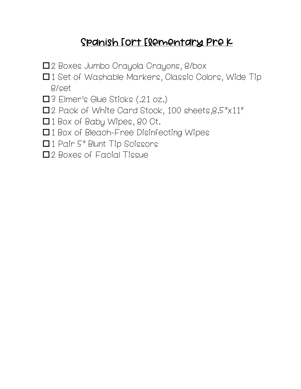### Spanish Fort Elementary Pre K

- □2 Boxes Jumbo Crayola Crayons, 8/box
- □1 Set of Washable Markers, Classic Colors, Wide Tip 8/set
- □3 Elmer's Glue Sticks (.21 oz.)
- $\square$ 2 Pack of White Card Stock, 100 sheets, 8.5" $\times$ 11"
- □1 Box of Baby Wipes, 80 Ct.
- □1 Box of Bleach-Free Disinfecting Wipes
- $\Box$  1 Pair 5" Blunt Tip Scissors
- □2 Boxes of Facial Tissue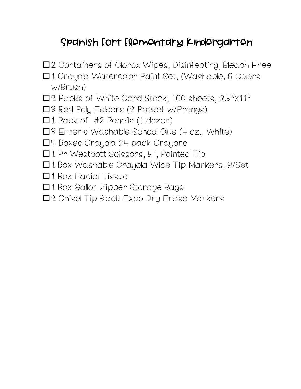# Spanish Fort Elementary Kindergarten

- □2 Containers of Clorox Wipes, Disinfecting, Bleach Free
- □1 Crayola Watercolor Paint Set, (Washable, 8 Colors w/Brush)
- $\square$ 2 Packs of White Card Stock, 100 sheets,  $8.5" \times 11"$
- □3 Red Poly Folders (2 Pocket w/Prongs)
- $\Box$  1 Pack of #2 Pencils (1 dozen)
- $\square$ 3 Elmer's Washable School Glue (4 oz., White)
- □5 Boxes Crayola 24 pack Crayons
- □1 Pr Westcott Scissors, 5", Pointed Tip
- $\Box$  1 Box Washable Crayola Wide Tip Markers, 8/Set
- $\Box$  1 Box Facial Tissue
- □1 Box Gallon Zipper Storage Bags
- □2 Chisel Tip Black Expo Dry Erase Markers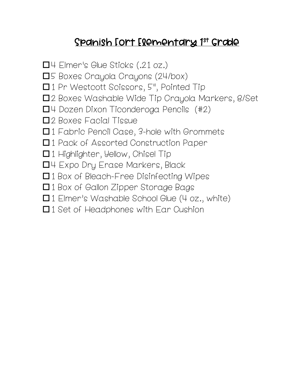## <u>Spanish [ort [lementary 1st Grade </u>

 $\Box$ 4 Elmer's Glue Sticks (.21 oz.) **O**5 Boxes Crayola Crayons (24/box) □1 Pr Westcott Scissors, 5", Pointed Tip □2 Boxes Washable Wide Tip Crayola Markers, 8/Set  $\Box$ 4 Dozen Dixon Ticonderoga Pencils (#2) □2 Boxes Facial Tissue  $\Box$  1 Fabric Pencil Case, 3-hole with Grommets □1 Pack of Assorted Construction Paper  $\Box$  1 Highlighter, Yellow, Chisel Tip  $\Box$ 4 Expo Dry Erase Markers, Black □1 Box of Bleach-Free Disinfecting Wipes □1 Box of Gallon Zipper Storage Bags  $\Box$  1 Elmer's Washable School Glue (4 oz., white)

 $\Box$  1 Set of Headphones with Ear Cushion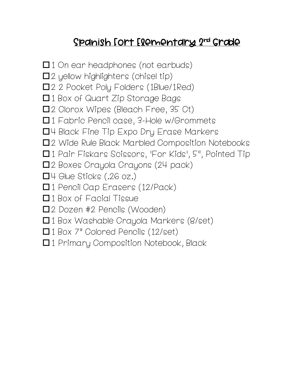# Spanish Fort Elementary 2nd Grade

 $\Box$  1 On ear headphones (not earbuds)  $\square$  2 yellow highlighters (chisel tip) □2 2 Pocket Poly Folders (1Blue/1Red)  $\Box$  1 Box of Quart Zip Storage Bags  $\square$  2 Clorox Wipes (Bleach Free, 35 Ct)  $\Box$  1 Fabric Pencil case, 3-Hole w/Grommets  $\Box$ 4 Black Fine Tip Expo Dry Erase Markers  $\square$ 2 Wide Rule Black Marbled Composition Notebooks □1 Pair Fiskars Scissors, 'For Kids', 5", Pointed Tip  $\square$ 2 Boxes Crayola Crayons (24 pack)  $\Box$ 4 Glue Sticks (.26 oz.) □1 Pencil Cap Erasers (12/Pack)  $\Box$  1 Box of Facial Tissue  $\square$ 2 Dozen #2 Pencils (Wooden) □1 Box Washable Crayola Markers (8/set)  $\Box$  1 Box 7" Colored Pencils (12/set) □1 Primary Composition Notebook, Black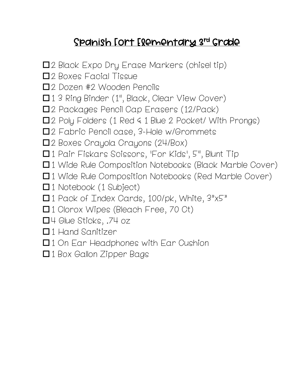# Spanish Fort Elementary 3rd Grade

- $\square$ 2 Black Expo Dry Erase Markers (chisel tip)
- o2 Boxes Facial Tissue
- □2 Dozen #2 Wooden Pencils
- □13 Ring Binder (1", Black, Clear View Cover)
- □2 Packages Pencil Cap Erasers (12/Pack)
- $\square$  2 Poly Folders (1 Red  $\leq$  1 Blue 2 Pocket/ With Prongs)
- □2 Fabric Pencil case, 3-Hole w/Grommets
- □2 Boxes Crayola Crayons (24/Box)
- $\Box$  1 Pair Fiskars Scissors, 'For Kids', 5", Blunt Tip
- $\Box$  1 Wide Rule Composition Notebooks (Black Marble Cover)
- $\Box$  1 Wide Rule Composition Notebooks (Red Marble Cover)
- $\square$  1 Notebook (1 Subject)
- □1 Pack of Index Cards, 100/pk, White, 3"x5"
- □1 Clorox Wipes (Bleach Free, 70 Ct)
- $\Box$ 4 Glue Sticks, .74 oz
- $\Box$  1 Hand Sanitizer
- $\Box$  1 On Ear Headphones with Ear Cushion
- □1 Box Gallon Zipper Bags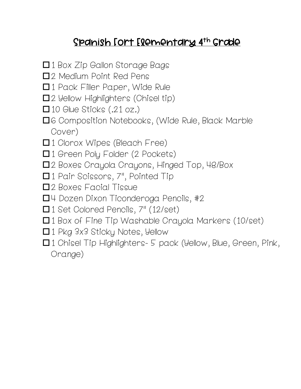## Spanish Fort Elementary 4th Grade

- $\Box$  1 Box Zip Gallon Storage Bags
- $\square$ 2 Medium Point Red Pens
- □1 Pack Filler Paper, Wide Rule
- $\square$ 2 Yellow Highlighters (Chisel tip)
- $\square$  10 Glue Sticks (.21 oz.)
- $\square$ 6 Composition Notebooks, (Wide Rule, Black Marble Cover)
- $\Box$  1 Clorox Wipes (Bleach Free)
- $\Box$  1 Green Poly Folder (2 Pockets)
- □2 Boxes Crayola Crayons, Hinged Top, 48/Box
- $\Box$  1 Pair Scissors, 7", Pointed Tip
- $\square$ 2 Boxes Facial Tissue
- $\Box$ 4 Dozen Dixon Ticonderoga Pencils, #2
- $\Box$  1 Set Colored Pencils,  $7"$  (12/set)
- $\Box$  1 Box of Fine Tip Washable Crayola Markers (10/set)
- $\Box$  1 Pkg 3x3 Sticky Notes, Yellow
- $\Box$  1 Chisel Tip Highlighters- 5 pack (Yellow, Blue, Green, Pink, Orange)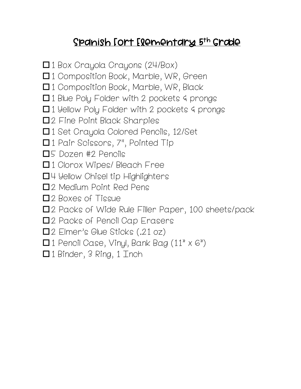## Spanish Fort Elementary 5th Grade

- $\square$ 1 Box Crayola Crayons (24/Box)
- □1 Composition Book, Marble, WR, Green
- $\Box$  1 Composition Book, Marble, WR, Black
- $\Box$  1 Blue Poly Folder with 2 pockets  $4$  prongs
- $\Box$  1 Yellow Poly Folder with 2 pockets 4 prongs
- □2 Fine Point Black Sharpies
- □1 Set Crayola Colored Pencils, 12/Set
- □1 Pair Scissors, 7", Pointed Tip
- $\square$ 5 Dozen #2 Pencils
- $\Box$  1 Clorox Wipes/ Bleach Free
- $\Box$ 4 Yellow Chisel tip Highlighters
- $\square$ 2 Medium Point Red Pens
- $\square$ 2 Boxes of Tissue
- □2 Packs of Wide Rule Filler Paper, 100 sheets/pack
- □2 Packs of Pencil Cap Erasers
- □2 Elmer's Glue Sticks (.21 oz)
- $\Box$  1 Pencil Case, Vinyl, Bank Bag (11" x 6")
- □1 Binder, 3 Ring, 1 Inch